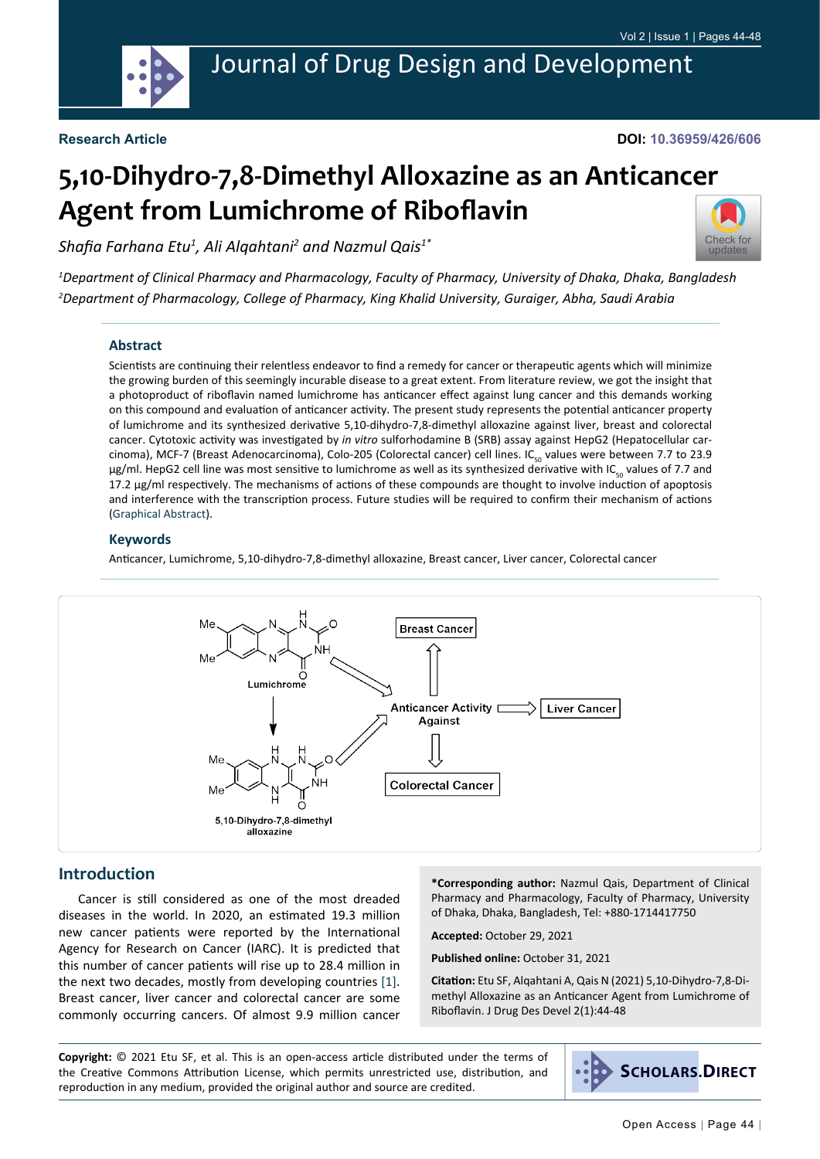

**DOI: 10.36959/426/606**

# **5,10-Dihydro-7,8-Dimethyl Alloxazine as an Anticancer Agent from Lumichrome of Riboflavin**

*Shafia Farhana Etu<sup>1</sup> , Ali Alqahtani<sup>2</sup> and Nazmul Qais1\**



*1 Department of Clinical Pharmacy and Pharmacology, Faculty of Pharmacy, University of Dhaka, Dhaka, Bangladesh 2 Department of Pharmacology, College of Pharmacy, King Khalid University, Guraiger, Abha, Saudi Arabia*

#### **Abstract**

Scientists are continuing their relentless endeavor to find a remedy for cancer or therapeutic agents which will minimize the growing burden of this seemingly incurable disease to a great extent. From literature review, we got the insight that a photoproduct of riboflavin named lumichrome has anticancer effect against lung cancer and this demands working on this compound and evaluation of anticancer activity. The present study represents the potential anticancer property of lumichrome and its synthesized derivative 5,10-dihydro-7,8-dimethyl alloxazine against liver, breast and colorectal cancer. Cytotoxic activity was investigated by *in vitro* sulforhodamine B (SRB) assay against HepG2 (Hepatocellular carcinoma), MCF-7 (Breast Adenocarcinoma), Colo-205 (Colorectal cancer) cell lines. IC<sub>co</sub> values were between 7.7 to 23.9 μg/ml. HepG2 cell line was most sensitive to lumichrome as well as its synthesized derivative with IC<sub>εο</sub> values of 7.7 and 17.2 μg/ml respectively. The mechanisms of actions of these compounds are thought to involve induction of apoptosis and interference with the transcription process. Future studies will be required to confirm their mechanism of actions ([Graphical Abstract\)](#page-0-0).

#### **Keywords**

Anticancer, Lumichrome, 5,10-dihydro-7,8-dimethyl alloxazine, Breast cancer, Liver cancer, Colorectal cancer

<span id="page-0-0"></span>

# **Introduction**

Cancer is still considered as one of the most dreaded diseases in the world. In 2020, an estimated 19.3 million new cancer patients were reported by the International Agency for Research on Cancer (IARC). It is predicted that this number of cancer patients will rise up to 28.4 million in the next two decades, mostly from developing countries [[1\]](#page-3-0). Breast cancer, liver cancer and colorectal cancer are some commonly occurring cancers. Of almost 9.9 million cancer

**\*Corresponding author:** Nazmul Qais, Department of Clinical Pharmacy and Pharmacology, Faculty of Pharmacy, University of Dhaka, Dhaka, Bangladesh, Tel: +880-1714417750

**Accepted:** October 29, 2021

**Published online:** October 31, 2021

**Citation:** Etu SF, Alqahtani A, Qais N (2021) 5,10-Dihydro-7,8-Dimethyl Alloxazine as an Anticancer Agent from Lumichrome of Riboflavin. J Drug Des Devel 2(1):44-48

**Copyright:** © 2021 Etu SF, et al. This is an open-access article distributed under the terms of the Creative Commons Attribution License, which permits unrestricted use, distribution, and reproduction in any medium, provided the original author and source are credited.

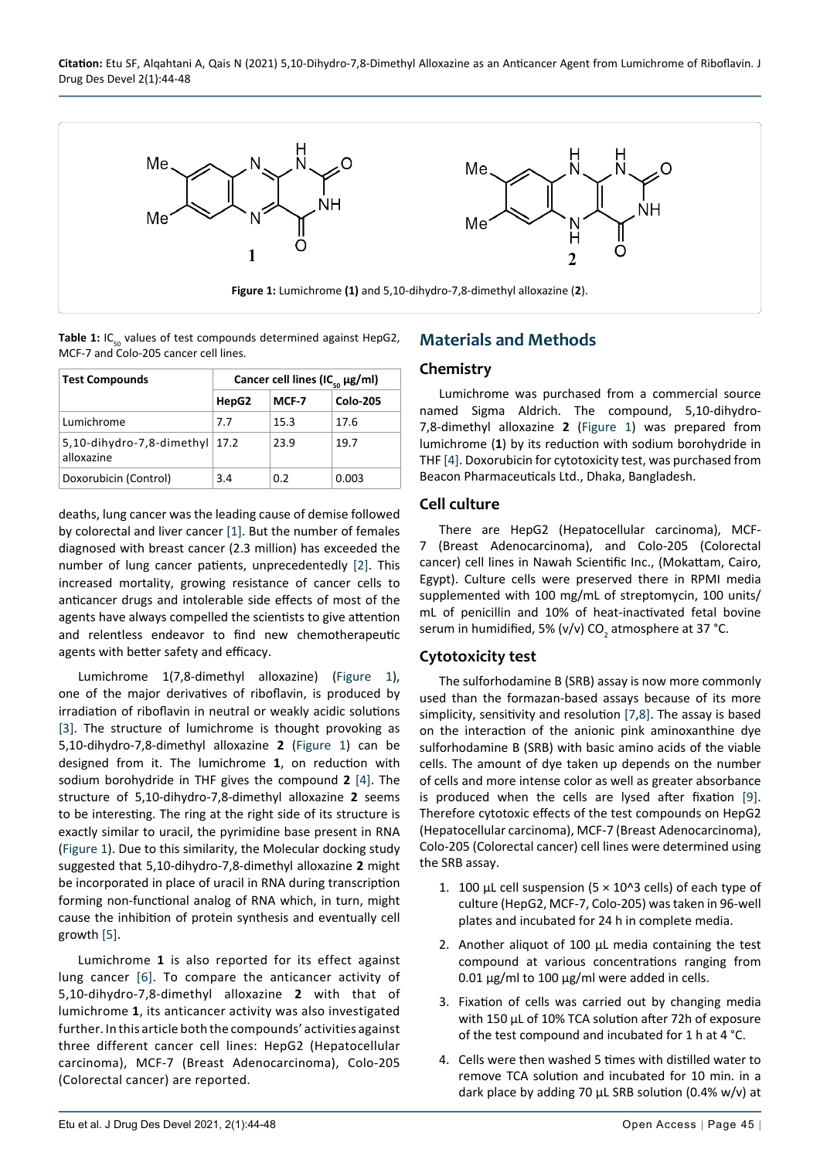<span id="page-1-0"></span>

<span id="page-1-1"></span>Table 1: IC<sub>50</sub> values of test compounds determined against HepG2, MCF-7 and Colo-205 cancer cell lines.

| <b>Test Compounds</b>                          | Cancer cell lines (IC <sub>50</sub> $\mu$ g/ml) |       |                 |
|------------------------------------------------|-------------------------------------------------|-------|-----------------|
|                                                | HepG2                                           | MCF-7 | <b>Colo-205</b> |
| Lumichrome                                     | 7.7                                             | 15.3  | 17.6            |
| 5,10-dihydro-7,8-dimethyl $17.2$<br>alloxazine |                                                 | 23.9  | 19.7            |
| Doxorubicin (Control)                          | 3.4                                             | 0.2   | 0.003           |

deaths, lung cancer was the leading cause of demise followed by colorectal and liver cancer [[1\]](#page-3-0). But the number of females diagnosed with breast cancer (2.3 million) has exceeded the number of lung cancer patients, unprecedentedly [[2\]](#page-3-2). This increased mortality, growing resistance of cancer cells to anticancer drugs and intolerable side effects of most of the agents have always compelled the scientists to give attention and relentless endeavor to find new chemotherapeutic agents with better safety and efficacy.

Lumichrome 1(7,8-dimethyl alloxazine) [\(Figure 1](#page-1-0)), one of the major derivatives of riboflavin, is produced by irradiation of riboflavin in neutral or weakly acidic solutions [[3\]](#page-3-3). The structure of lumichrome is thought provoking as 5,10-dihydro-7,8-dimethyl alloxazine **2** [\(Figure 1](#page-1-0)) can be designed from it. The lumichrome **1**, on reduction with sodium borohydride in THF gives the compound **2** [\[4](#page-3-1)]. The structure of 5,10-dihydro-7,8-dimethyl alloxazine **2** seems to be interesting. The ring at the right side of its structure is exactly similar to uracil, the pyrimidine base present in RNA ([Figure 1](#page-1-0)). Due to this similarity, the Molecular docking study suggested that 5,10-dihydro-7,8-dimethyl alloxazine **2** might be incorporated in place of uracil in RNA during transcription forming non-functional analog of RNA which, in turn, might cause the inhibition of protein synthesis and eventually cell growth [\[5](#page-3-4)].

Lumichrome **1** is also reported for its effect against lung cancer [\[6\]](#page-4-3). To compare the anticancer activity of 5,10-dihydro-7,8-dimethyl alloxazine **2** with that of lumichrome **1**, its anticancer activity was also investigated further. In this article both the compounds' activities against three different cancer cell lines: HepG2 (Hepatocellular carcinoma), MCF-7 (Breast Adenocarcinoma), Colo-205 (Colorectal cancer) are reported.

# **Materials and Methods**

#### **Chemistry**

Lumichrome was purchased from a commercial source named Sigma Aldrich. The compound, 5,10-dihydro-7,8-dimethyl alloxazine **2** [\(Figure 1\)](#page-1-0) was prepared from lumichrome (**1**) by its reduction with sodium borohydride in THF [\[4](#page-3-1)]. Doxorubicin for cytotoxicity test, was purchased from Beacon Pharmaceuticals Ltd., Dhaka, Bangladesh.

#### **Cell culture**

There are HepG2 (Hepatocellular carcinoma), MCF-7 (Breast Adenocarcinoma), and Colo-205 (Colorectal cancer) cell lines in Nawah Scientific Inc., (Mokattam, Cairo, Egypt). Culture cells were preserved there in RPMI media supplemented with 100 mg/mL of streptomycin, 100 units/ mL of penicillin and 10% of heat-inactivated fetal bovine serum in humidified, 5% (v/v) CO<sub>2</sub> atmosphere at 37 °C.

# **Cytotoxicity test**

The sulforhodamine B (SRB) assay is now more commonly used than the formazan-based assays because of its more simplicity, sensitivity and resolution [[7](#page-4-0),[8](#page-4-1)]. The assay is based on the interaction of the anionic pink aminoxanthine dye sulforhodamine B (SRB) with basic amino acids of the viable cells. The amount of dye taken up depends on the number of cells and more intense color as well as greater absorbance is produced when the cells are lysed after fixation [\[9](#page-4-2)]. Therefore cytotoxic effects of the test compounds on HepG2 (Hepatocellular carcinoma), MCF-7 (Breast Adenocarcinoma), Colo-205 (Colorectal cancer) cell lines were determined using the SRB assay.

- 1. 100 μL cell suspension (5  $\times$  10^3 cells) of each type of culture (HepG2, MCF-7, Colo-205) was taken in 96-well plates and incubated for 24 h in complete media.
- 2. Another aliquot of 100 μL media containing the test compound at various concentrations ranging from 0.01 μg/ml to 100 μg/ml were added in cells.
- 3. Fixation of cells was carried out by changing media with 150 μL of 10% TCA solution after 72h of exposure of the test compound and incubated for 1 h at 4 °C.
- 4. Cells were then washed 5 times with distilled water to remove TCA solution and incubated for 10 min. in a dark place by adding 70 μL SRB solution (0.4% w/v) at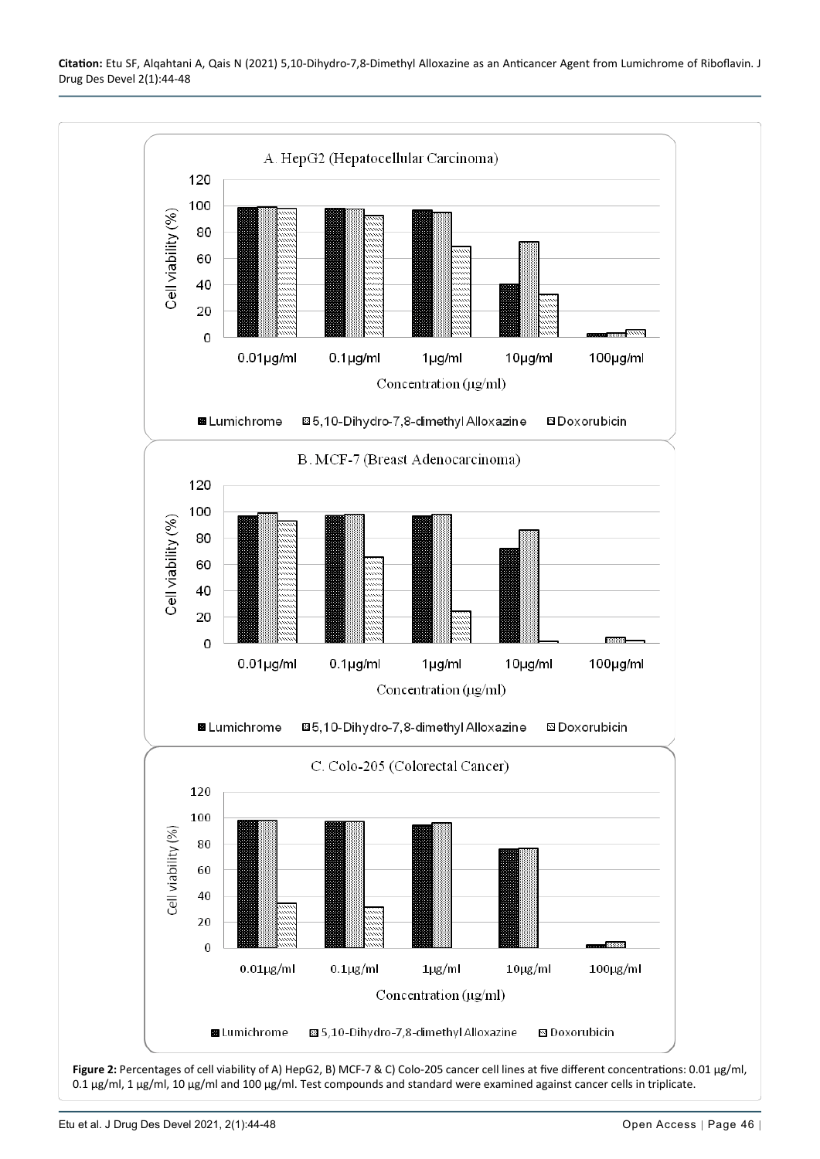<span id="page-2-0"></span>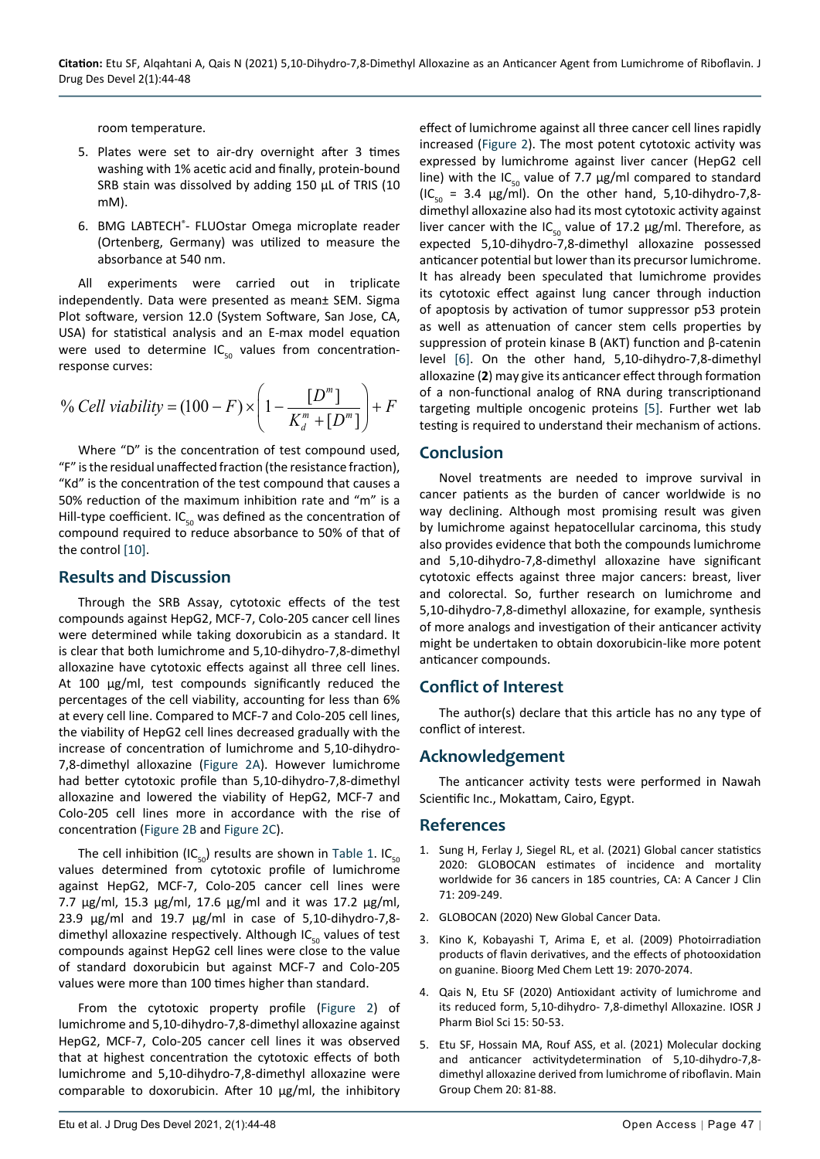room temperature.

- 5. Plates were set to air-dry overnight after 3 times washing with 1% acetic acid and finally, protein-bound SRB stain was dissolved by adding 150 μL of TRIS (10 mM).
- 6. BMG LABTECH® FLUOstar Omega microplate reader (Ortenberg, Germany) was utilized to measure the absorbance at 540 nm.

All experiments were carried out in triplicate independently. Data were presented as mean± SEM. Sigma Plot software, version 12.0 (System Software, San Jose, CA, USA) for statistical analysis and an E-max model equation were used to determine  $IC_{50}$  values from concentrationresponse curves:

$$
\% Cell viability = (100 - F) \times \left(1 - \frac{[D^m]}{K_d^m + [D^m]}\right) + F
$$

Where "D" is the concentration of test compound used, "F" is the residual unaffected fraction (the resistance fraction), "Kd" is the concentration of the test compound that causes a 50% reduction of the maximum inhibition rate and "m" is a Hill-type coefficient.  $IC_{50}$  was defined as the concentration of compound required to reduce absorbance to 50% of that of the control [[10\]](#page-4-4).

#### **Results and Discussion**

Through the SRB Assay, cytotoxic effects of the test compounds against HepG2, MCF-7, Colo-205 cancer cell lines were determined while taking doxorubicin as a standard. It is clear that both lumichrome and 5,10-dihydro-7,8-dimethyl alloxazine have cytotoxic effects against all three cell lines. At 100 μg/ml, test compounds significantly reduced the percentages of the cell viability, accounting for less than 6% at every cell line. Compared to MCF-7 and Colo-205 cell lines, the viability of HepG2 cell lines decreased gradually with the increase of concentration of lumichrome and 5,10-dihydro-7,8-dimethyl alloxazine ([Figure 2A](#page-2-0)). However lumichrome had better cytotoxic profile than 5,10-dihydro-7,8-dimethyl alloxazine and lowered the viability of HepG2, MCF-7 and Colo-205 cell lines more in accordance with the rise of concentration ([Figure 2B](#page-2-0) and [Figure 2C\)](#page-2-0).

The cell inhibition (IC $_{50}$ ) results are shown in [Table 1](#page-1-1). IC $_{50}$ values determined from cytotoxic profile of lumichrome against HepG2, MCF-7, Colo-205 cancer cell lines were 7.7 μg/ml, 15.3 μg/ml, 17.6 μg/ml and it was 17.2 μg/ml, 23.9 μg/ml and 19.7 μg/ml in case of 5,10-dihydro-7,8 dimethyl alloxazine respectively. Although  $IC_{50}$  values of test compounds against HepG2 cell lines were close to the value of standard doxorubicin but against MCF-7 and Colo-205 values were more than 100 times higher than standard.

From the cytotoxic property profile [\(Figure 2](#page-2-0)) of lumichrome and 5,10-dihydro-7,8-dimethyl alloxazine against HepG2, MCF-7, Colo-205 cancer cell lines it was observed that at highest concentration the cytotoxic effects of both lumichrome and 5,10-dihydro-7,8-dimethyl alloxazine were comparable to doxorubicin. After 10 μg/ml, the inhibitory

effect of lumichrome against all three cancer cell lines rapidly increased [\(Figure 2\)](#page-2-0). The most potent cytotoxic activity was expressed by lumichrome against liver cancer (HepG2 cell line) with the IC<sub>50</sub> value of 7.7  $\mu$ g/ml compared to standard  $(IC_{50} = 3.4 \text{ µg/ml})$ . On the other hand, 5,10-dihydro-7,8dimethyl alloxazine also had its most cytotoxic activity against liver cancer with the IC<sub>50</sub> value of 17.2  $\mu$ g/ml. Therefore, as expected 5,10-dihydro-7,8-dimethyl alloxazine possessed anticancer potential but lower than its precursor lumichrome. It has already been speculated that lumichrome provides its cytotoxic effect against lung cancer through induction of apoptosis by activation of tumor suppressor p53 protein as well as attenuation of cancer stem cells properties by suppression of protein kinase B (AKT) function and β-catenin level [\[6](#page-4-3)]. On the other hand, 5,10-dihydro-7,8-dimethyl alloxazine (**2**) may give its anticancer effect through formation of a non-functional analog of RNA during transcriptionand targeting multiple oncogenic proteins [[5\]](#page-3-4). Further wet lab testing is required to understand their mechanism of actions.

#### **Conclusion**

Novel treatments are needed to improve survival in cancer patients as the burden of cancer worldwide is no way declining. Although most promising result was given by lumichrome against hepatocellular carcinoma, this study also provides evidence that both the compounds lumichrome and 5,10-dihydro-7,8-dimethyl alloxazine have significant cytotoxic effects against three major cancers: breast, liver and colorectal. So, further research on lumichrome and 5,10-dihydro-7,8-dimethyl alloxazine, for example, synthesis of more analogs and investigation of their anticancer activity might be undertaken to obtain doxorubicin-like more potent anticancer compounds.

# **Conflict of Interest**

The author(s) declare that this article has no any type of conflict of interest.

# **Acknowledgement**

The anticancer activity tests were performed in Nawah Scientific Inc., Mokattam, Cairo, Egypt.

#### **References**

- <span id="page-3-0"></span>1. [Sung H, Ferlay J, Siegel RL, et al. \(2021\) Global cancer statistics](https://pubmed.ncbi.nlm.nih.gov/33538338/)  [2020: GLOBOCAN estimates of incidence and mortality](https://pubmed.ncbi.nlm.nih.gov/33538338/)  [worldwide for 36 cancers in 185 countries, CA: A Cancer J Clin](https://pubmed.ncbi.nlm.nih.gov/33538338/)  [71: 209-249.](https://pubmed.ncbi.nlm.nih.gov/33538338/)
- <span id="page-3-2"></span>2. [GLOBOCAN \(2020\) New Global Cancer Data.](https://www.uicc.org/news/globocan-2020-new-global-cancer-data)
- <span id="page-3-3"></span>3. Kino K, Kobayashi T, Arima E, et al. (2009) Photoirradiation products of flavin derivatives, and the effects of photooxidation on guanine. Bioorg Med Chem Lett 19: 2070-2074.
- <span id="page-3-1"></span>4. [Qais N, Etu SF \(2020\) Antioxidant activity of lumichrome and](https://www.semanticscholar.org/paper/Antioxidant-Activity-of-Lumichrome-and-Its-Reduced-andShafiaFarhanaEtu/b8fbe0e95b66e6d7c64a8d830284d033a1632f4d)  [its reduced form, 5,10-dihydro- 7,8-dimethyl Alloxazine. IOSR J](https://www.semanticscholar.org/paper/Antioxidant-Activity-of-Lumichrome-and-Its-Reduced-andShafiaFarhanaEtu/b8fbe0e95b66e6d7c64a8d830284d033a1632f4d)  [Pharm Biol Sci 15: 50-53.](https://www.semanticscholar.org/paper/Antioxidant-Activity-of-Lumichrome-and-Its-Reduced-andShafiaFarhanaEtu/b8fbe0e95b66e6d7c64a8d830284d033a1632f4d)
- <span id="page-3-4"></span>5. [Etu SF, Hossain MA, Rouf ASS, et al. \(2021\) Molecular docking](https://content.iospress.com/articles/main-group-chemistry/mgc210025)  [and anticancer activitydetermination of 5,10-dihydro-7,8](https://content.iospress.com/articles/main-group-chemistry/mgc210025) [dimethyl alloxazine derived from lumichrome of riboflavin. Main](https://content.iospress.com/articles/main-group-chemistry/mgc210025)  [Group Chem 20: 81-88.](https://content.iospress.com/articles/main-group-chemistry/mgc210025)